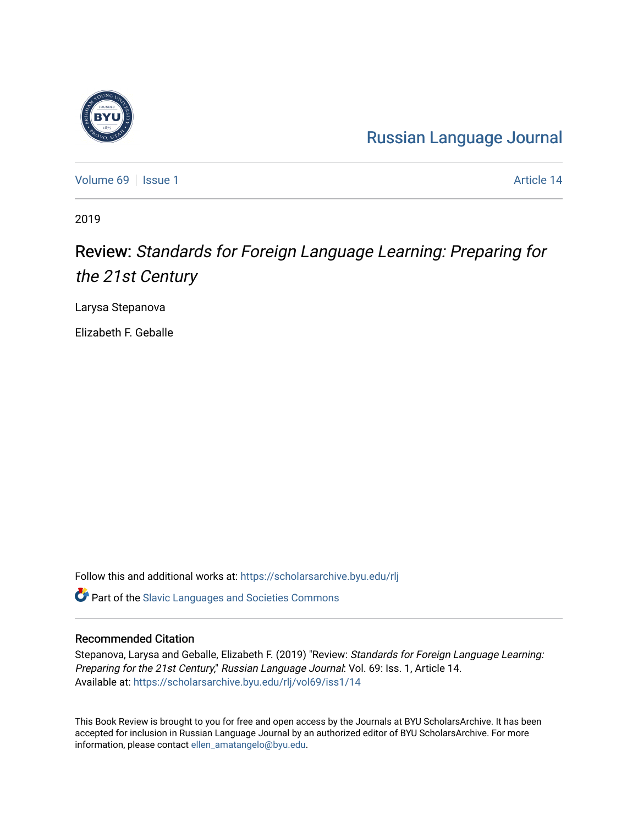## [Russian Language Journal](https://scholarsarchive.byu.edu/rlj)

[Volume 69](https://scholarsarchive.byu.edu/rlj/vol69) | [Issue 1](https://scholarsarchive.byu.edu/rlj/vol69/iss1) Article 14

2019

## Review: Standards for Foreign Language Learning: Preparing for the 21st Century

Larysa Stepanova

Elizabeth F. Geballe

Follow this and additional works at: [https://scholarsarchive.byu.edu/rlj](https://scholarsarchive.byu.edu/rlj?utm_source=scholarsarchive.byu.edu%2Frlj%2Fvol69%2Fiss1%2F14&utm_medium=PDF&utm_campaign=PDFCoverPages)

**C** Part of the Slavic Languages and Societies Commons

## Recommended Citation

Stepanova, Larysa and Geballe, Elizabeth F. (2019) "Review: Standards for Foreign Language Learning: Preparing for the 21st Century," Russian Language Journal: Vol. 69: Iss. 1, Article 14. Available at: [https://scholarsarchive.byu.edu/rlj/vol69/iss1/14](https://scholarsarchive.byu.edu/rlj/vol69/iss1/14?utm_source=scholarsarchive.byu.edu%2Frlj%2Fvol69%2Fiss1%2F14&utm_medium=PDF&utm_campaign=PDFCoverPages)

This Book Review is brought to you for free and open access by the Journals at BYU ScholarsArchive. It has been accepted for inclusion in Russian Language Journal by an authorized editor of BYU ScholarsArchive. For more information, please contact [ellen\\_amatangelo@byu.edu.](mailto:ellen_amatangelo@byu.edu)

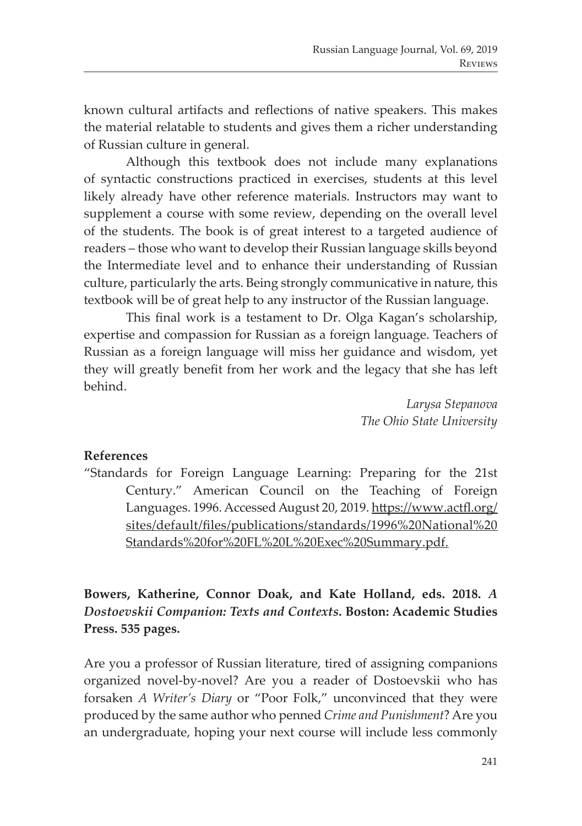known cultural artifacts and reflections of native speakers. This makes the material relatable to students and gives them a richer understanding of Russian culture in general.

Although this textbook does not include many explanations of syntactic constructions practiced in exercises, students at this level likely already have other reference materials. Instructors may want to supplement a course with some review, depending on the overall level of the students. The book is of great interest to a targeted audience of readers – those who want to develop their Russian language skills beyond the Intermediate level and to enhance their understanding of Russian culture, particularly the arts. Being strongly communicative in nature, this textbook will be of great help to any instructor of the Russian language.

This final work is a testament to Dr. Olga Kagan's scholarship, expertise and compassion for Russian as a foreign language. Teachers of Russian as a foreign language will miss her guidance and wisdom, yet they will greatly benefit from her work and the legacy that she has left behind.

> *Larysa Stepanova The Ohio State University*

## **References**

"Standards for Foreign Language Learning: Preparing for the 21st Century." American Council on the Teaching of Foreign Languages. 1996. Accessed August 20, 2019. https://www.actfl.org/ sites/default/files/publications/standards/1996%20National%20 Standards%20for%20FL%20L%20Exec%20Summary.pdf.

**Bowers, Katherine, Connor Doak, and Kate Holland, eds. 2018.** *A Dostoevskii Companion: Texts and Contexts***. Boston: Academic Studies Press. 535 pages.**

Are you a professor of Russian literature, tired of assigning companions organized novel-by-novel? Are you a reader of Dostoevskii who has forsaken *A Writer's Diary* or "Poor Folk," unconvinced that they were produced by the same author who penned *Crime and Punishment*? Are you an undergraduate, hoping your next course will include less commonly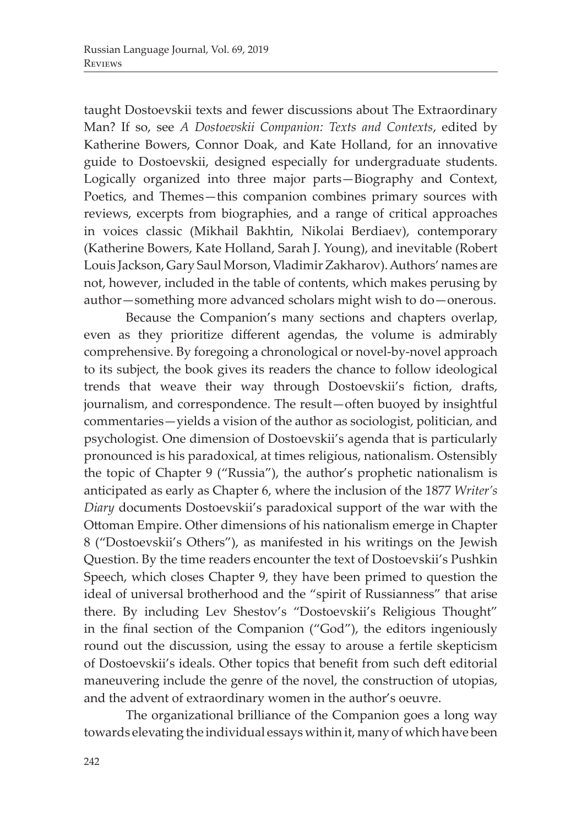taught Dostoevskii texts and fewer discussions about The Extraordinary Man? If so, see *A Dostoevskii Companion: Texts and Contexts*, edited by Katherine Bowers, Connor Doak, and Kate Holland, for an innovative guide to Dostoevskii, designed especially for undergraduate students. Logically organized into three major parts—Biography and Context, Poetics, and Themes—this companion combines primary sources with reviews, excerpts from biographies, and a range of critical approaches in voices classic (Mikhail Bakhtin, Nikolai Berdiaev), contemporary (Katherine Bowers, Kate Holland, Sarah J. Young), and inevitable (Robert Louis Jackson, Gary Saul Morson, Vladimir Zakharov). Authors' names are not, however, included in the table of contents, which makes perusing by author—something more advanced scholars might wish to do—onerous.

Because the Companion's many sections and chapters overlap, even as they prioritize different agendas, the volume is admirably comprehensive. By foregoing a chronological or novel-by-novel approach to its subject, the book gives its readers the chance to follow ideological trends that weave their way through Dostoevskii's fiction, drafts, journalism, and correspondence. The result—often buoyed by insightful commentaries—yields a vision of the author as sociologist, politician, and psychologist. One dimension of Dostoevskii's agenda that is particularly pronounced is his paradoxical, at times religious, nationalism. Ostensibly the topic of Chapter 9 ("Russia"), the author's prophetic nationalism is anticipated as early as Chapter 6, where the inclusion of the 1877 *Writer's Diary* documents Dostoevskii's paradoxical support of the war with the Ottoman Empire. Other dimensions of his nationalism emerge in Chapter 8 ("Dostoevskii's Others"), as manifested in his writings on the Jewish Question. By the time readers encounter the text of Dostoevskii's Pushkin Speech, which closes Chapter 9, they have been primed to question the ideal of universal brotherhood and the "spirit of Russianness" that arise there. By including Lev Shestov's "Dostoevskii's Religious Thought" in the final section of the Companion ("God"), the editors ingeniously round out the discussion, using the essay to arouse a fertile skepticism of Dostoevskii's ideals. Other topics that benefit from such deft editorial maneuvering include the genre of the novel, the construction of utopias, and the advent of extraordinary women in the author's oeuvre.

The organizational brilliance of the Companion goes a long way towards elevating the individual essays within it, many of which have been